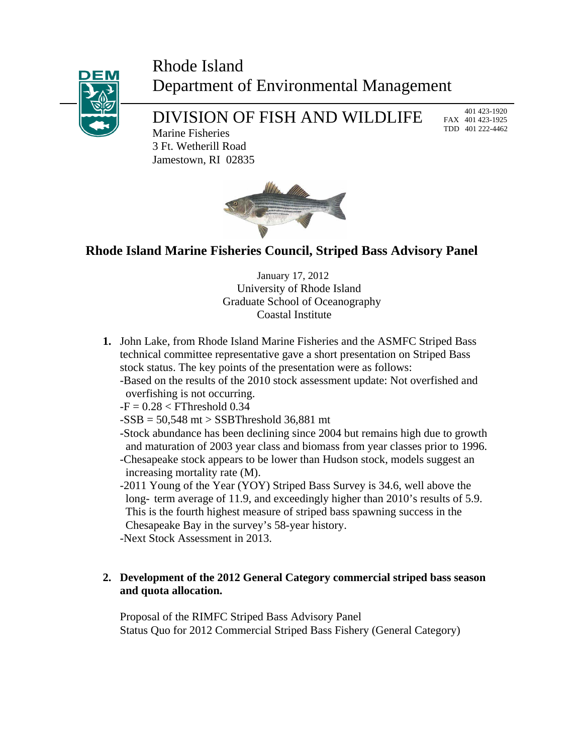## Rhode Island Department of Environmental Management



# DIVISION OF FISH AND WILDLIFE

 401 423-1920 FAX 401 423-1925 TDD 401 222-4462

Marine Fisheries 3 Ft. Wetherill Road Jamestown, RI 02835



### **Rhode Island Marine Fisheries Council, Striped Bass Advisory Panel**

 January 17, 2012 University of Rhode Island Graduate School of Oceanography Coastal Institute

- **1.** John Lake, from Rhode Island Marine Fisheries and the ASMFC Striped Bass technical committee representative gave a short presentation on Striped Bass stock status. The key points of the presentation were as follows: -Based on the results of the 2010 stock assessment update: Not overfished and
	- overfishing is not occurring.
	- $-F = 0.28 < F$ Threshold 0.34
	- $-SSB = 50,548$  mt  $>$  SSBThreshold 36,881 mt

 -Stock abundance has been declining since 2004 but remains high due to growth and maturation of 2003 year class and biomass from year classes prior to 1996. -Chesapeake stock appears to be lower than Hudson stock, models suggest an increasing mortality rate (M).

 -2011 Young of the Year (YOY) Striped Bass Survey is 34.6, well above the long- term average of 11.9, and exceedingly higher than 2010's results of 5.9. This is the fourth highest measure of striped bass spawning success in the Chesapeake Bay in the survey's 58-year history.

-Next Stock Assessment in 2013.

#### **2. Development of the 2012 General Category commercial striped bass season and quota allocation.**

Proposal of the RIMFC Striped Bass Advisory Panel Status Quo for 2012 Commercial Striped Bass Fishery (General Category)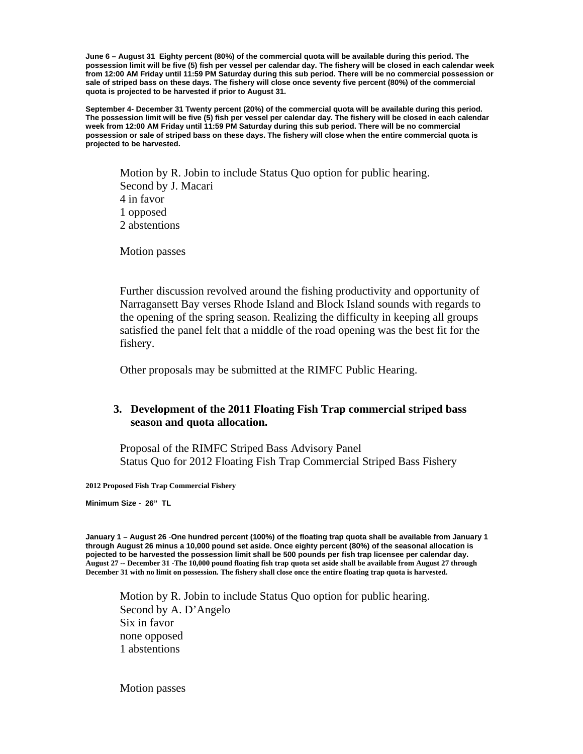**June 6 – August 31 Eighty percent (80%) of the commercial quota will be available during this period. The possession limit will be five (5) fish per vessel per calendar day. The fishery will be closed in each calendar week from 12:00 AM Friday until 11:59 PM Saturday during this sub period. There will be no commercial possession or sale of striped bass on these days. The fishery will close once seventy five percent (80%) of the commercial quota is projected to be harvested if prior to August 31.**

**September 4- December 31 Twenty percent (20%) of the commercial quota will be available during this period. The possession limit will be five (5) fish per vessel per calendar day. The fishery will be closed in each calendar week from 12:00 AM Friday until 11:59 PM Saturday during this sub period. There will be no commercial possession or sale of striped bass on these days. The fishery will close when the entire commercial quota is projected to be harvested.** 

Motion by R. Jobin to include Status Quo option for public hearing. Second by J. Macari 4 in favor 1 opposed 2 abstentions

Motion passes

Further discussion revolved around the fishing productivity and opportunity of Narragansett Bay verses Rhode Island and Block Island sounds with regards to the opening of the spring season. Realizing the difficulty in keeping all groups satisfied the panel felt that a middle of the road opening was the best fit for the fishery.

Other proposals may be submitted at the RIMFC Public Hearing.

#### **3. Development of the 2011 Floating Fish Trap commercial striped bass season and quota allocation.**

Proposal of the RIMFC Striped Bass Advisory Panel Status Quo for 2012 Floating Fish Trap Commercial Striped Bass Fishery

**2012 Proposed Fish Trap Commercial Fishery**

**Minimum Size - 26" TL** 

**August 27 -- December 31** -**The 10,000 pound floating fish trap quota set aside shall be available from August 27 through December 31 with no limit on possession. The fishery shall close once the entire floating trap quota is harvested. January 1 – August 26** -**One hundred percent (100%) of the floating trap quota shall be available from January 1 through August 26 minus a 10,000 pound set aside. Once eighty percent (80%) of the seasonal allocation is pojected to be harvested the possession limit shall be 500 pounds per fish trap licensee per calendar day.** 

Motion by R. Jobin to include Status Quo option for public hearing. Second by A. D'Angelo Six in favor none opposed 1 abstentions

Motion passes